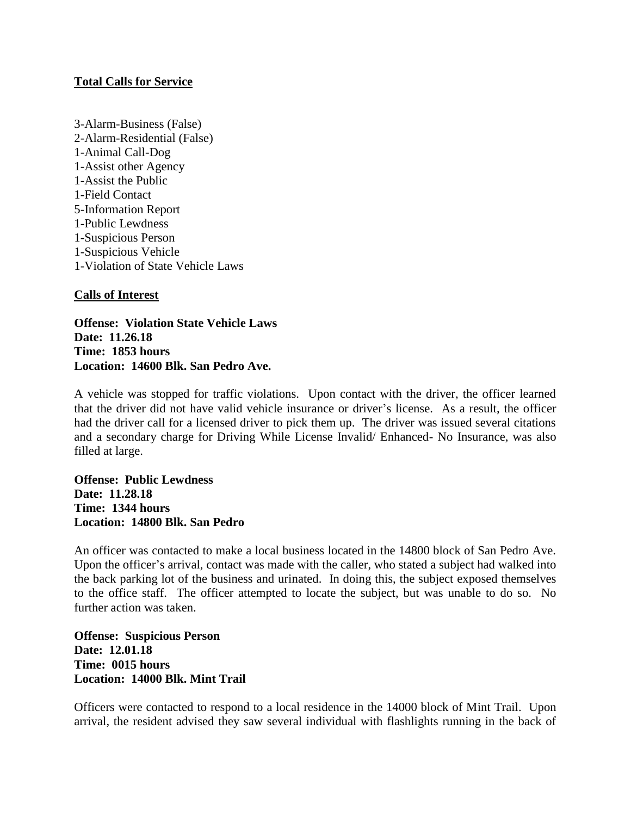## **Total Calls for Service**

3-Alarm-Business (False) 2-Alarm-Residential (False) 1-Animal Call-Dog 1-Assist other Agency 1-Assist the Public 1-Field Contact 5-Information Report 1-Public Lewdness 1-Suspicious Person 1-Suspicious Vehicle 1-Violation of State Vehicle Laws

## **Calls of Interest**

**Offense: Violation State Vehicle Laws Date: 11.26.18 Time: 1853 hours Location: 14600 Blk. San Pedro Ave.**

A vehicle was stopped for traffic violations. Upon contact with the driver, the officer learned that the driver did not have valid vehicle insurance or driver's license. As a result, the officer had the driver call for a licensed driver to pick them up. The driver was issued several citations and a secondary charge for Driving While License Invalid/ Enhanced- No Insurance, was also filled at large.

**Offense: Public Lewdness Date: 11.28.18 Time: 1344 hours Location: 14800 Blk. San Pedro**

An officer was contacted to make a local business located in the 14800 block of San Pedro Ave. Upon the officer's arrival, contact was made with the caller, who stated a subject had walked into the back parking lot of the business and urinated. In doing this, the subject exposed themselves to the office staff. The officer attempted to locate the subject, but was unable to do so. No further action was taken.

**Offense: Suspicious Person Date: 12.01.18 Time: 0015 hours Location: 14000 Blk. Mint Trail**

Officers were contacted to respond to a local residence in the 14000 block of Mint Trail. Upon arrival, the resident advised they saw several individual with flashlights running in the back of